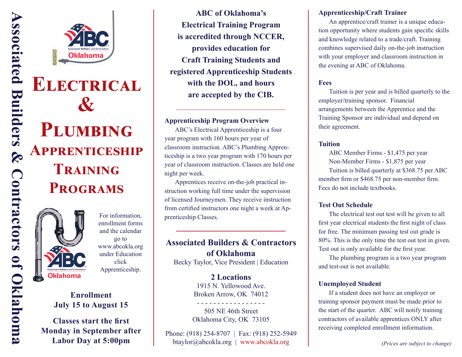

# **Pඅඎආൻංඇ**  $AP$ **PRENTICESHIP**  $$ **PROGRAMS**

**ELECTRICAL** 

**&**



**Associated Builders & Contractors of Oklahoma**

Contractors of Oklahoma

 $\infty$ 

**Associated Builders** 

enrollment forms and the calendar go to www.abcokla.org under Education click Apprenticeship.

# **Enrollment July 15 to August 15**

**Classes start the first Monday in September after Labor Day at 5:00pm**

**ABC of Oklahoma's Electrical Training Program is accredited through NCCER, provides education for Craft Training Students and registered Apprenticeship Students with the DOL, and hours are accepted by the CIB.**

#### **Apprenticeship Program Overview**

 ABC's Electrical Apprenticeship is a four year program with 160 hours per year of classroom instruction. ABC's Plumbing Apprenticeship is a two year program with 170 hours per year of classroom instruction. Classes are held one night per week.

 Apprentices receive on-the-job practical instruction working full time under the supervision of licensed Journeymen. They receive instruction from certified instructors one night a week at Ap-For information, prenticeship Classes.

# **Associated Builders & Contractors of Oklahoma**

Becky Taylor, Vice President | Education

**2 Locations** 1915 N. Yellowood Ave. Broken Arrow, OK 74012 - - - - - - - - - - - - - - - - -

505 NE 46th Street Oklahoma City, OK 73105

Phone: (918) 254-8707 | Fax: (918) 252-5949 btaylor@abcokla.org | www.abcokla.org

#### **Apprenticeship/Craft Trainer**

 An apprentice/craft trainer is a unique education opportunity where students gain specific skills and knowledge related to a trade/craft. Training combines supervised daily on-the-job instruction with your employer and classroom instruction in the evening at ABC of Oklahoma.

#### **Fees**

 Tuition is per year and is billed quarterly to the employer/training sponsor. Financial arrangements between the Apprentice and the Training Sponsor are individual and depend on their agreement.

#### **Tuition**

 ABC Member Firms - \$1,475 per year Non-Member Firms - \$1,875 per year Tuition is billed quarterly at \$368.75 per ABC member firm or \$468.75 per non-member firm. Fees do not include textbooks.

#### **Test Out Schedule**

 The electrical test out test will be given to all first year electrical students the first night of class for free. The minimum passing test out grade is 80%. This is the only time the test out test in given. Test out is only available for the first year.

 The plumbing program is a two year program and test-out is not available.

#### **Unemployed Student**

 If a student does not have an employer or training sponsor payment must be made prior to the start of the quarter. ABC will notify training contractors of available apprentices ONLY after receiving completed enrollment information.

*(Prices are subject to change)*